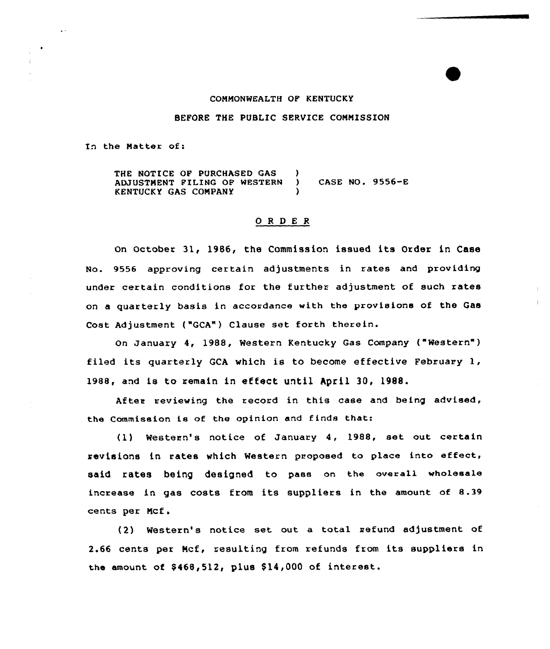# COMMONWEALTH OP KENTUCKY

### BEFORE THE PUBLIC SERVICE CONNISSION

In the Natter of:

THE NOTICE OF PURCHASED GAS (1) ADJUSTNENT PILING OF WESTERN ) CASE NO, 9556-E KENTUCKY GAS COMPANY )

## ORDER

On October 31, 1986, the Commission issued its Order in Case No. 9556 approving certain adjustments in rates and providing under certain conditions for the further adjustment of such rates on a quarterly basis in accordance with the provisions of the Gas Cost Adjustment ("GCA") Clause set forth therein.

On January 4, 1988, Western Kentucky Gas Company ("Western" ) filed its quarterly GCA which is to become effective February 1, 1988, and is to remain in effect until hpril 30, 1988.

After reviewing the record in this case and being advised, the Commission is of the opinion and finds that:

(1) Western's notice of January 4, 1988, set out certain revisions in rates which Western proposed to place into effect, said rates being designed to pass on the overall wholesale increase in gas costs from its suppliers in the amount of 8.39 cents per Ncf i

(2) Western's notice set out a total refund adjustment of 2.66 cents per Mcf, resulting from refunds from its suppliers in the amount of \$468,512, plus \$14,000 of interest.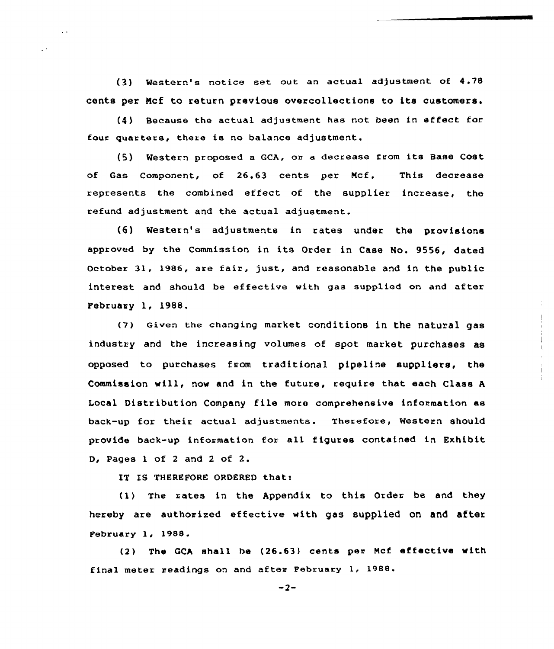(3) Western's notice set out an actual adjustment of 4.78 cents per Mcf to return previous overcollections to its customers.

(4) Because the actual adjustment has not been in effect for four quarters, there is no balance adjustment.

(5) Western proposed <sup>a</sup> GCA, oe <sup>a</sup> decrease from its Base Cost of Gas Component, of 26.63 cents per Ncf. This decrease represents the combined effect of the supplier increase, the refund adjustment and the actual adjustment.

(6) Western's adjustments in ~ates under the provisions approved by the Commission in its Order in Case No, 9556, dated October 31, 1986, are fair, just, and reasonable and in the public interest and should be effective with gas supplied on and after February l, 1988.

(7) Given the changing market conditions in the natural gas industry and the increasing volumes of spot market purchases as opposed to purchases from traditional pipeline suppliers, the Commission will, now and in the future, require that each Class <sup>A</sup> Local Distribution Company file more comprehensive information as back-up for their actual adjustments. Therefore, Western should provide back-up information for all figures contained in Exhibit D, Pages <sup>1</sup> of <sup>2</sup> and <sup>2</sup> of 2.

IT IS THEREFORE ORDERED that:

(1) The rates in the Appendix to this Order be and they hereby are authorized effective with gas supplied on and after February 1, 1988.

(2) The GCA shall be (26.63) cents per Ncf effective with final meter readings on and after February 1, 1988.

 $-2-$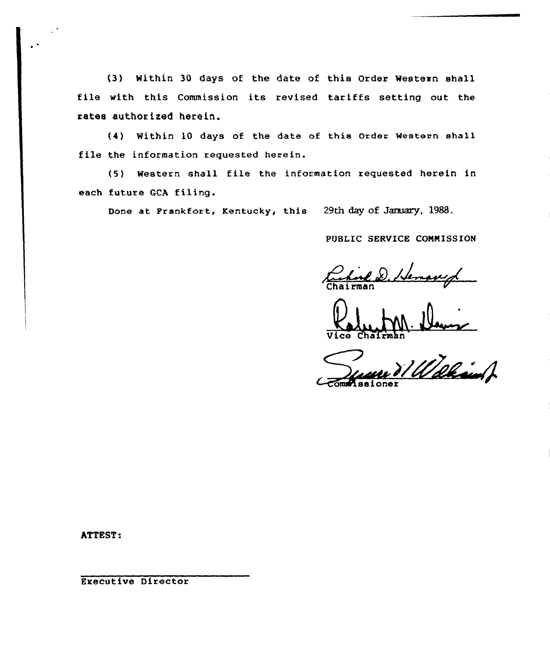(3) Within 30 days of the date of this Order Western shall file with this Commission its revised tariffs setting out the rates authorized herein.

(4) Within 10 days of the date of this Order Western shall file the information requested herein.

(5) Western shall file the information requested herein in each future GCA filing.

Done at Frankfort, Kentucky, this 29th day of January, 1988.

PUBLIC SERVICE CONNISSION

tuhned .

Vice Chairma

Walkand om Missione

ATTEST:

 $\frac{1}{2}$ 

Executive Director